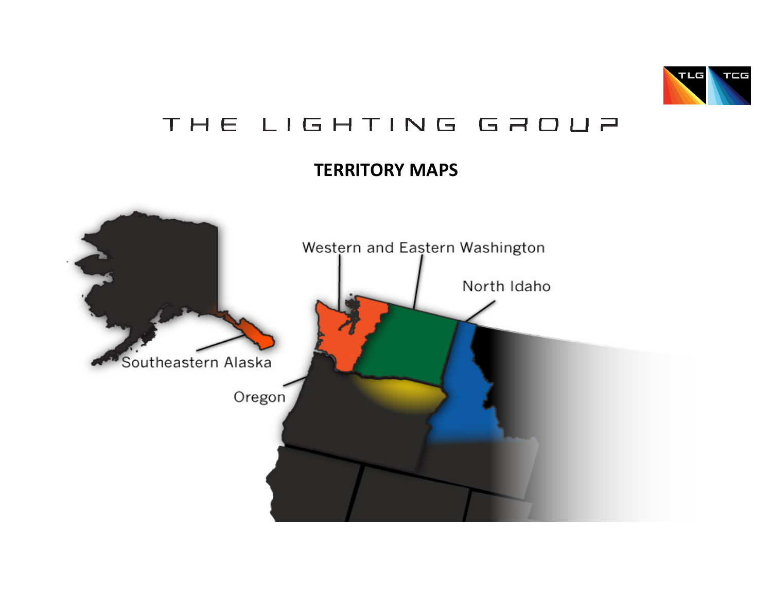

# THE LIGHTING GROUP

## **TERRITORY MAPS**

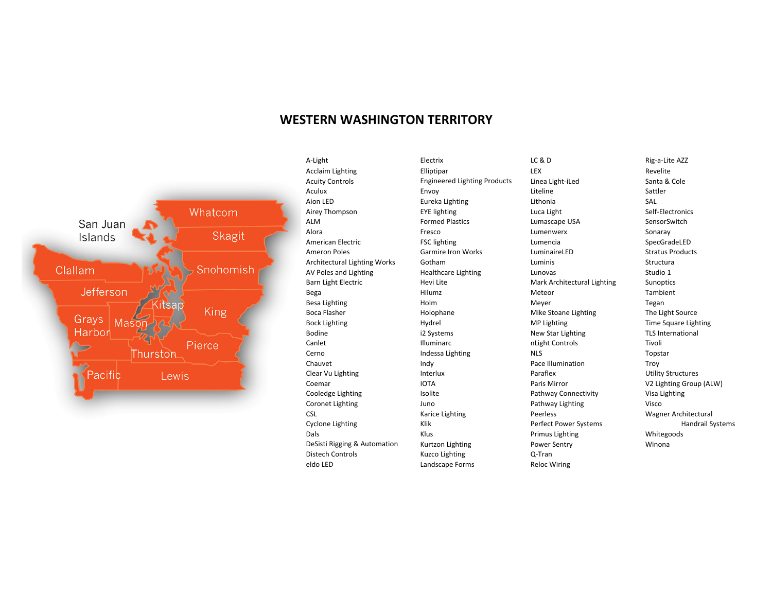#### **WESTERN WASHINGTON TERRITORY**



A-Light **Acclaim Lighting Acuity Controls** Aculux Aion LED Airey Thompson ALM Alora American Electric **Ameron Poles** Architectural Lighting Works AV Poles and Lighting **Barn Light Electric** Bega Besa Lighting **Boca Flasher Bock Lighting** Bodine Canlet Cerno Chauvet Clear Vu Lighting Coemar Cooledge Lighting Coronet Lighting **CSL** Cyclone Lighting Dals DeSisti Rigging & Automation **Distech Controls** eldo LED

Electrix Elliptipar **Engineered Lighting Products** Envoy Eureka Lighting **EYE** lighting **Formed Plastics** Fresco **FSC** lighting **Garmire Iron Works** Gotham **Healthcare Lighting** Hevi Lite Hilumz Holm Holophane Hydrel i2 Systems Illuminarc Indessa Lighting Indy Interlux **IOTA** Isolite Juno Karice Lighting Klik Klus Kurtzon Lighting **Kuzco Lighting** Landscape Forms

 $LC & D$ LEX Linea Light-iLed Liteline Lithonia Luca Light Lumascape USA Lumenwerx Lumencia LuminaireLED Luminis Lunovas Mark Architectural Lighting Meteor Meyer Mike Stoane Lighting MP Lighting New Star Lighting nLight Controls **NLS** Pace Illumination Paraflex Paris Mirror Pathway Connectivity Pathway Lighting Peerless Perfect Power Systems **Primus Lighting** Power Sentry Q-Tran **Reloc Wiring** 

Rig-a-Lite AZZ Revelite Santa & Cole Sattler SAI Self-Electronics SensorSwitch Sonaray SpecGradeLED **Stratus Products** Structura Studio 1 Sunoptics Tambient Tegan The Light Source Time Square Lighting **TLS International** Tivoli Topstar Troy **Utility Structures** V2 Lighting Group (ALW) Visa Lighting Visco Wagner Architectural **Handrail Systems** Whitegoods Winona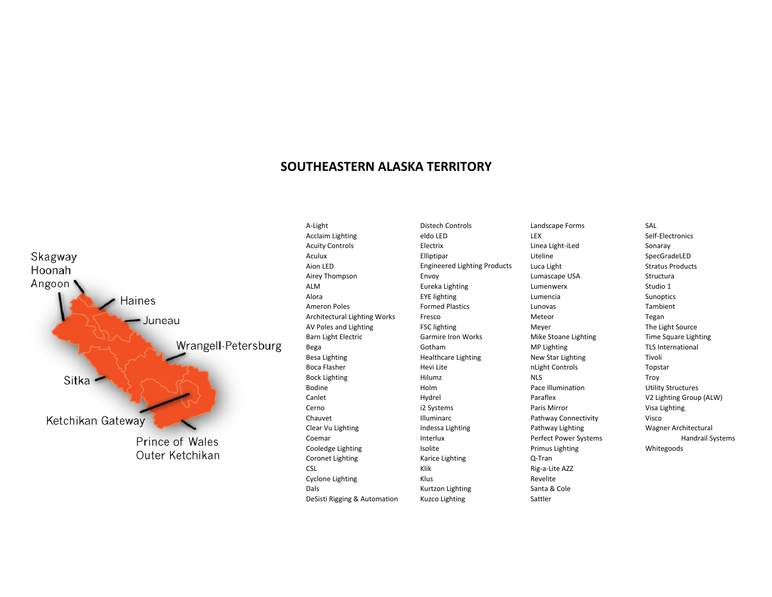### SOUTHEASTERN ALASKA TERRITORY



A-Light **Acclaim Lighting Acuity Controls** Aculux Aion LED Airey Thompson **ALM** Alora **Ameron Poles** Architectural Lighting Works AV Poles and Lighting **Barn Light Electric** Bega **Besa Lighting Boca Flasher Bock Lighting** Bodine Canlet Cerno Chauvet Clear Vu Lighting Coemar Cooledge Lighting Coronet Lighting **CSL Cyclone Lighting** Dals DeSisti Rigging & Automation **Distech Controls** eldo LED Electrix Elliptipar **Engineered Lighting Products** Envoy Eureka Lighting **EYE** lighting **Formed Plastics** Fresco **FSC lighting** Garmire Iron Works Gotham **Healthcare Lighting** Hevi Lite Hilumz Holm Hydrel i2 Systems **Illuminarc** Indessa Lighting Interlux Isolite Karice Lighting Klik Klus Kurtzon Lighting **Kuzco Lighting** 

Landscape Forms LEX Linea Light-iLed Liteline Luca Light Lumascape USA Lumenwerx Lumencia Lunovas Meteor Meyer Mike Stoane Lighting MP Lighting New Star Lighting nLight Controls **NLS** Pace Illumination Paraflex Paris Mirror Pathway Connectivity Pathway Lighting Perfect Power Systems **Primus Lighting** Q-Tran Rig-a-Lite AZZ Revelite Santa & Cole Sattler

SAL Self-Electronics Sonaray SpecGradeLED **Stratus Products** Structura Studio 1 Sunoptics Tambient Tegan The Light Source Time Square Lighting **TLS International** Tivoli Topstar Troy **Utility Structures** V2 Lighting Group (ALW) Visa Lighting Visco Wagner Architectural **Handrail Systems** Whitegoods